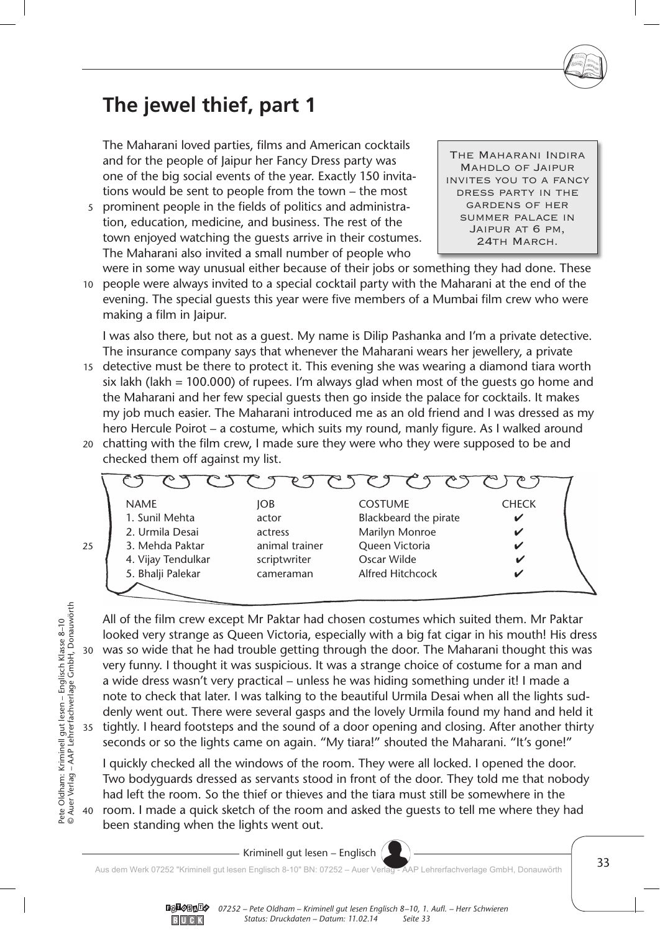## **The jewel thief, part 1**

The Maharani loved parties, films and American cocktails and for the people of Jaipur her Fancy Dress party was one of the big social events of the year. Exactly 150 invitations would be sent to people from the town – the most

5 prominent people in the fields of politics and administration, education, medicine, and business. The rest of the town enjoyed watching the guests arrive in their costumes. The Maharani also invited a small number of people who

The Maharani Indira Mahdlo of Jaipur invites you to a fancy dress party in the gardens of her summer palace in Jaipur at 6 pm, 24th March.

10 people were always invited to a special cocktail party with the Maharani at the end of the were in some way unusual either because of their jobs or something they had done. These evening. The special guests this year were five members of a Mumbai film crew who were making a film in Jaipur.

I was also there, but not as a guest. My name is Dilip Pashanka and I'm a private detective. The insurance company says that whenever the Maharani wears her jewellery, a private

- 15 detective must be there to protect it. This evening she was wearing a diamond tiara worth six lakh (lakh = 100.000) of rupees. I'm always glad when most of the quests go home and the Maharani and her few special guests then go inside the palace for cocktails. It makes my job much easier. The Maharani introduced me as an old friend and I was dressed as my hero Hercule Poirot – a costume, which suits my round, manly figure. As I walked around
- 20 chatting with the film crew, I made sure they were who they were supposed to be and checked them off against my list.



30 35 All of the film crew except Mr Paktar had chosen costumes which suited them. Mr Paktar looked very strange as Queen Victoria, especially with a big fat cigar in his mouth! His dress was so wide that he had trouble getting through the door. The Maharani thought this was very funny. I thought it was suspicious. It was a strange choice of costume for a man and a wide dress wasn't very practical – unless he was hiding something under it! I made a note to check that later. I was talking to the beautiful Urmila Desai when all the lights suddenly went out. There were several gasps and the lovely Urmila found my hand and held it tightly. I heard footsteps and the sound of a door opening and closing. After another thirty seconds or so the lights came on again. "My tiara!" shouted the Maharani. "It's gone!"

40 room. I made a quick sketch of the room and asked the guests to tell me where they had I quickly checked all the windows of the room. They were all locked. I opened the door. Two bodyguards dressed as servants stood in front of the door. They told me that nobody had left the room. So the thief or thieves and the tiara must still be somewhere in the been standing when the lights went out.

25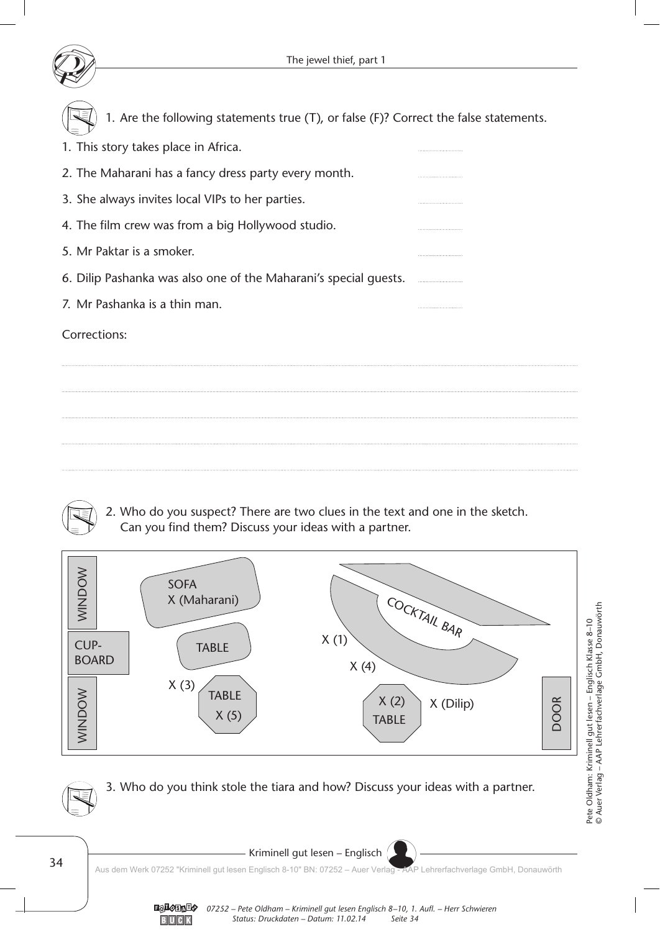

1. Are the following statements true (T), or false (F)? Correct the false statements.

| 1. This story takes place in Africa.                             |  |
|------------------------------------------------------------------|--|
| 2. The Maharani has a fancy dress party every month.             |  |
| 3. She always invites local VIPs to her parties.                 |  |
| 4. The film crew was from a big Hollywood studio.                |  |
| 5. Mr Paktar is a smoker.                                        |  |
| 6. Dilip Pashanka was also one of the Maharani's special guests. |  |
| 7. Mr Pashanka is a thin man.                                    |  |

Corrections:



2. Who do you suspect? There are two clues in the text and one in the sketch. Can you find them? Discuss your ideas with a partner.



3. Who do you think stole the tiara and how? Discuss your ideas with a partner.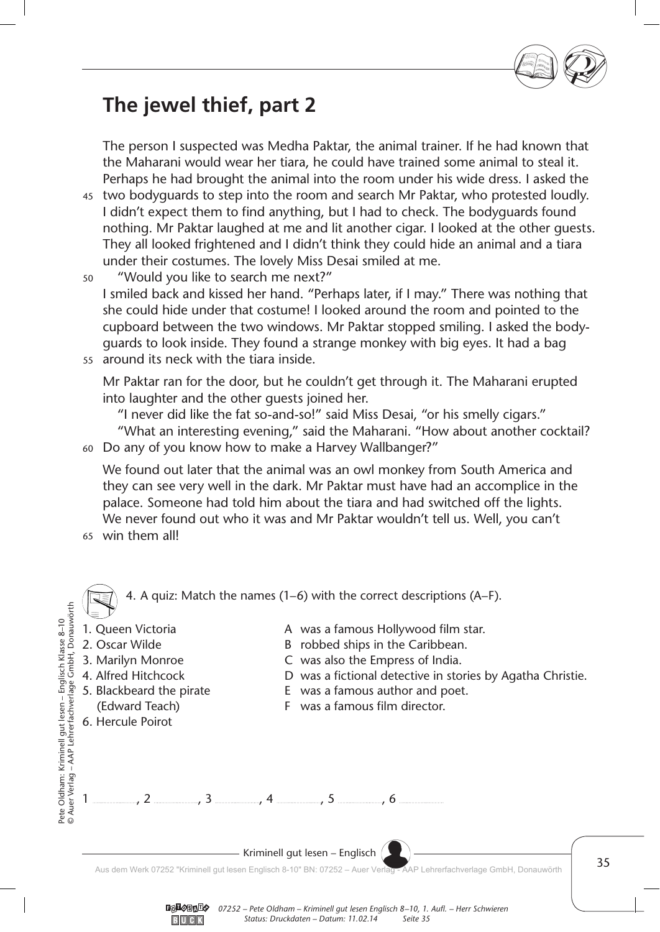

## **The jewel thief, part 2**

The person I suspected was Medha Paktar, the animal trainer. If he had known that the Maharani would wear her tiara, he could have trained some animal to steal it. Perhaps he had brought the animal into the room under his wide dress. I asked the

- two bodyguards to step into the room and search Mr Paktar, who protested loudly. 45 I didn't expect them to find anything, but I had to check. The bodyguards found nothing. Mr Paktar laughed at me and lit another cigar. I looked at the other guests. They all looked frightened and I didn't think they could hide an animal and a tiara under their costumes. The lovely Miss Desai smiled at me.
- "Would you like to search me next?" I smiled back and kissed her hand. "Perhaps later, if I may." There was nothing that she could hide under that costume! I looked around the room and pointed to the cupboard between the two windows. Mr Paktar stopped smiling. I asked the bodyguards to look inside. They found a strange monkey with big eyes. It had a bag 50
- around its neck with the tiara inside. 55

Mr Paktar ran for the door, but he couldn't get through it. The Maharani erupted into laughter and the other guests joined her.

"I never did like the fat so-and-so!" said Miss Desai, "or his smelly cigars."

 "What an interesting evening," said the Maharani. "How about another cocktail? Do any of you know how to make a Harvey Wallbanger?" 60

We found out later that the animal was an owl monkey from South America and they can see very well in the dark. Mr Paktar must have had an accomplice in the palace. Someone had told him about the tiara and had switched off the lights. We never found out who it was and Mr Paktar wouldn't tell us. Well, you can't

win them all! 65



 $-$  Kriminell gut lesen – Englisch  $\left( \right.$